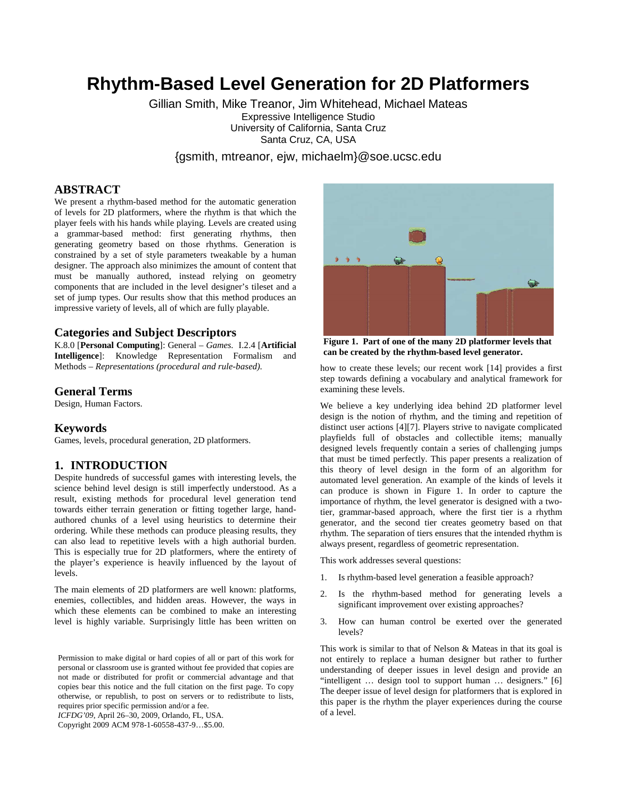# **Rhythm-Based Level Generation for 2D Platformers**

Gillian Smith, Mike Treanor, Jim Whitehead, Michael Mateas Expressive Intelligence Studio University of California, Santa Cruz Santa Cruz, CA, USA

{gsmith, mtreanor, ejw, michaelm}@soe.ucsc.edu

### **ABSTRACT**

We present a rhythm-based method for the automatic generation of levels for 2D platformers, where the rhythm is that which the player feels with his hands while playing. Levels are created using a grammar-based method: first generating rhythms, then generating geometry based on those rhythms. Generation is constrained by a set of style parameters tweakable by a human designer. The approach also minimizes the amount of content that must be manually authored, instead relying on geometry components that are included in the level designer's tileset and a set of jump types. Our results show that this method produces an impressive variety of levels, all of which are fully playable.

#### **Categories and Subject Descriptors**

K.8.0 [**Personal Computing**]: General – *Games.* I.2.4 [**Artificial Intelligence**]: Knowledge Representation Formalism and Methods – *Representations (procedural and rule-based).* 

#### **General Terms**

Design, Human Factors.

### **Keywords**

Games, levels, procedural generation, 2D platformers.

### **1. INTRODUCTION**

Despite hundreds of successful games with interesting levels, the science behind level design is still imperfectly understood. As a result, existing methods for procedural level generation tend towards either terrain generation or fitting together large, handauthored chunks of a level using heuristics to determine their ordering. While these methods can produce pleasing results, they can also lead to repetitive levels with a high authorial burden. This is especially true for 2D platformers, where the entirety of the player's experience is heavily influenced by the layout of levels.

The main elements of 2D platformers are well known: platforms, enemies, collectibles, and hidden areas. However, the ways in which these elements can be combined to make an interesting level is highly variable. Surprisingly little has been written on

Permission to make digital or hard copies of all or part of this work for personal or classroom use is granted without fee provided that copies are not made or distributed for profit or commercial advantage and that copies bear this notice and the full citation on the first page. To copy otherwise, or republish, to post on servers or to redistribute to lists, requires prior specific permission and/or a fee.

*ICFDG'09*, April 26–30, 2009, Orlando, FL, USA.

Copyright 2009 ACM 978-1-60558-437-9…\$5.00.



**Figure 1. Part of one of the many 2D platformer levels that can be created by the rhythm-based level generator.**

how to create these levels; our recent work [14] provides a first step towards defining a vocabulary and analytical framework for examining these levels.

We believe a key underlying idea behind 2D platformer level design is the notion of rhythm, and the timing and repetition of distinct user actions [4][7]. Players strive to navigate complicated playfields full of obstacles and collectible items; manually designed levels frequently contain a series of challenging jumps that must be timed perfectly. This paper presents a realization of this theory of level design in the form of an algorithm for automated level generation. An example of the kinds of levels it can produce is shown in Figure 1. In order to capture the importance of rhythm, the level generator is designed with a twotier, grammar-based approach, where the first tier is a rhythm generator, and the second tier creates geometry based on that rhythm. The separation of tiers ensures that the intended rhythm is always present, regardless of geometric representation.

This work addresses several questions:

- 1. Is rhythm-based level generation a feasible approach?
- 2. Is the rhythm-based method for generating levels a significant improvement over existing approaches?
- 3. How can human control be exerted over the generated levels?

This work is similar to that of Nelson & Mateas in that its goal is not entirely to replace a human designer but rather to further understanding of deeper issues in level design and provide an "intelligent ... design tool to support human ... designers." [6] The deeper issue of level design for platformers that is explored in this paper is the rhythm the player experiences during the course of a level.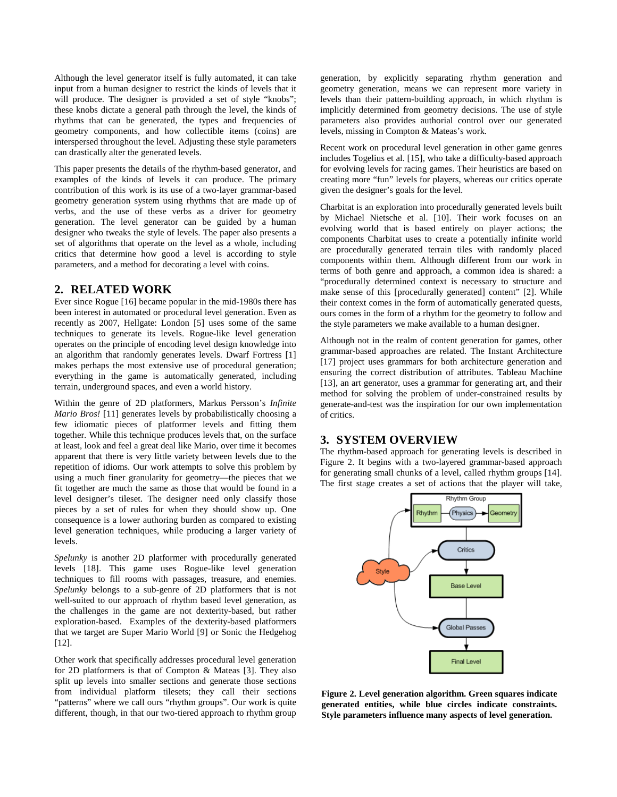Although the level generator itself is fully automated, it can take input from a human designer to restrict the kinds of levels that it will produce. The designer is provided a set of style "knobs"; these knobs dictate a general path through the level, the kinds of rhythms that can be generated, the types and frequencies of geometry components, and how collectible items (coins) are interspersed throughout the level. Adjusting these style parameters can drastically alter the generated levels.

This paper presents the details of the rhythm-based generator, and examples of the kinds of levels it can produce. The primary contribution of this work is its use of a two-layer grammar-based geometry generation system using rhythms that are made up of verbs, and the use of these verbs as a driver for geometry generation. The level generator can be guided by a human designer who tweaks the style of levels. The paper also presents a set of algorithms that operate on the level as a whole, including critics that determine how good a level is according to style parameters, and a method for decorating a level with coins.

### **2. RELATED WORK**

Ever since Rogue [16] became popular in the mid-1980s there has been interest in automated or procedural level generation. Even as recently as 2007, Hellgate: London [5] uses some of the same techniques to generate its levels. Rogue-like level generation operates on the principle of encoding level design knowledge into an algorithm that randomly generates levels. Dwarf Fortress [1] makes perhaps the most extensive use of procedural generation; everything in the game is automatically generated, including terrain, underground spaces, and even a world history.

Within the genre of 2D platformers, Markus Persson's *Infinite Mario Bros!* [11] generates levels by probabilistically choosing a few idiomatic pieces of platformer levels and fitting them together. While this technique produces levels that, on the surface at least, look and feel a great deal like Mario, over time it becomes apparent that there is very little variety between levels due to the repetition of idioms. Our work attempts to solve this problem by using a much finer granularity for geometry—the pieces that we fit together are much the same as those that would be found in a level designer's tileset. The designer need only classify those pieces by a set of rules for when they should show up. One consequence is a lower authoring burden as compared to existing level generation techniques, while producing a larger variety of levels.

*Spelunky* is another 2D platformer with procedurally generated levels [18]. This game uses Rogue-like level generation techniques to fill rooms with passages, treasure, and enemies. *Spelunky* belongs to a sub-genre of 2D platformers that is not well-suited to our approach of rhythm based level generation, as the challenges in the game are not dexterity-based, but rather exploration-based. Examples of the dexterity-based platformers that we target are Super Mario World [9] or Sonic the Hedgehog [12].

Other work that specifically addresses procedural level generation for 2D platformers is that of Compton & Mateas [3]. They also split up levels into smaller sections and generate those sections from individual platform tilesets; they call their sections "patterns" where we call ours "rhythm groups". Our work is quite different, though, in that our two-tiered approach to rhythm group generation, by explicitly separating rhythm generation and geometry generation, means we can represent more variety in levels than their pattern-building approach, in which rhythm is implicitly determined from geometry decisions. The use of style parameters also provides authorial control over our generated levels, missing in Compton & Mateas's work.

Recent work on procedural level generation in other game genres includes Togelius et al. [15], who take a difficulty-based approach for evolving levels for racing games. Their heuristics are based on creating more "fun" levels for players, whereas our critics operate given the designer's goals for the level.

Charbitat is an exploration into procedurally generated levels built by Michael Nietsche et al. [10]. Their work focuses on an evolving world that is based entirely on player actions; the components Charbitat uses to create a potentially infinite world are procedurally generated terrain tiles with randomly placed components within them. Although different from our work in terms of both genre and approach, a common idea is shared: a "procedurally determined context is necessary to structure and make sense of this [procedurally generated] content" [2]. While their context comes in the form of automatically generated quests, ours comes in the form of a rhythm for the geometry to follow and the style parameters we make available to a human designer.

Although not in the realm of content generation for games, other grammar-based approaches are related. The Instant Architecture [17] project uses grammars for both architecture generation and ensuring the correct distribution of attributes. Tableau Machine [13], an art generator, uses a grammar for generating art, and their method for solving the problem of under-constrained results by generate-and-test was the inspiration for our own implementation of critics.

### **3. SYSTEM OVERVIEW**

The rhythm-based approach for generating levels is described in Figure 2. It begins with a two-layered grammar-based approach for generating small chunks of a level, called rhythm groups [14]. The first stage creates a set of actions that the player will take,



**Figure 2. Level generation algorithm. Green squares indicate generated entities, while blue circles indicate constraints. Style parameters influence many aspects of level generation.**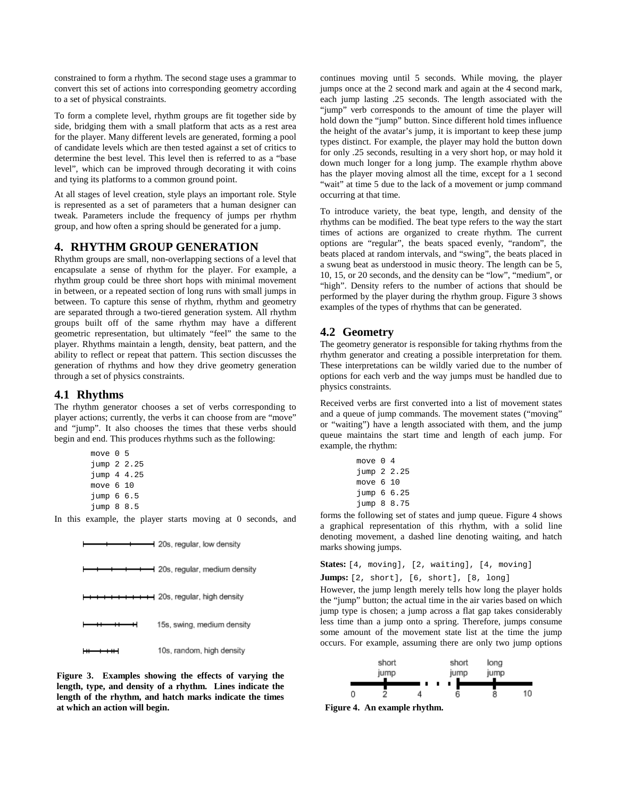constrained to form a rhythm. The second stage uses a grammar to convert this set of actions into corresponding geometry according to a set of physical constraints.

To form a complete level, rhythm groups are fit together side by side, bridging them with a small platform that acts as a rest area for the player. Many different levels are generated, forming a pool of candidate levels which are then tested against a set of critics to determine the best level. This level then is referred to as a "base level", which can be improved through decorating it with coins and tying its platforms to a common ground point.

At all stages of level creation, style plays an important role. Style is represented as a set of parameters that a human designer can tweak. Parameters include the frequency of jumps per rhythm group, and how often a spring should be generated for a jump.

### **4. RHYTHM GROUP GENERATION**

Rhythm groups are small, non-overlapping sections of a level that encapsulate a sense of rhythm for the player. For example, a rhythm group could be three short hops with minimal movement in between, or a repeated section of long runs with small jumps in between. To capture this sense of rhythm, rhythm and geometry are separated through a two-tiered generation system. All rhythm groups built off of the same rhythm may have a different geometric representation, but ultimately "feel" the same to the player. Rhythms maintain a length, density, beat pattern, and the ability to reflect or repeat that pattern. This section discusses the generation of rhythms and how they drive geometry generation through a set of physics constraints.

### **4.1 Rhythms**

The rhythm generator chooses a set of verbs corresponding to player actions; currently, the verbs it can choose from are "move" and "jump". It also chooses the times that these verbs should begin and end. This produces rhythms such as the following:

```
 move 0 5 
jump 2 2.25 
jump 4 4.25 
move 6 10 
jump 6 6.5 
jump 8 8.5
```
In this example, the player starts moving at 0 seconds, and



**Figure 3. Examples showing the effects of varying the length, type, and density of a rhythm. Lines indicate the length of the rhythm, and hatch marks indicate the times at which an action will begin. Figure 4. An example rhythm.** 

continues moving until 5 seconds. While moving, the player jumps once at the 2 second mark and again at the 4 second mark, each jump lasting .25 seconds. The length associated with the "jump" verb corresponds to the amount of time the player will hold down the "jump" button. Since different hold times influence the height of the avatar's jump, it is important to keep these jump types distinct. For example, the player may hold the button down for only .25 seconds, resulting in a very short hop, or may hold it down much longer for a long jump. The example rhythm above has the player moving almost all the time, except for a 1 second "wait" at time 5 due to the lack of a movement or jump command occurring at that time.

To introduce variety, the beat type, length, and density of the rhythms can be modified. The beat type refers to the way the start times of actions are organized to create rhythm. The current options are "regular", the beats spaced evenly, "random", the beats placed at random intervals, and "swing", the beats placed in a swung beat as understood in music theory. The length can be 5, 10, 15, or 20 seconds, and the density can be "low", "medium", or "high". Density refers to the number of actions that should be performed by the player during the rhythm group. Figure 3 shows examples of the types of rhythms that can be generated.

### **4.2 Geometry**

The geometry generator is responsible for taking rhythms from the rhythm generator and creating a possible interpretation for them. These interpretations can be wildly varied due to the number of options for each verb and the way jumps must be handled due to physics constraints.

Received verbs are first converted into a list of movement states and a queue of jump commands. The movement states ("moving" or "waiting") have a length associated with them, and the jump queue maintains the start time and length of each jump. For example, the rhythm:

| move $04$   |  |
|-------------|--|
| jump 2 2.25 |  |
| move $610$  |  |
| jump 66.25  |  |
| jump 8 8.75 |  |

forms the following set of states and jump queue. Figure 4 shows a graphical representation of this rhythm, with a solid line denoting movement, a dashed line denoting waiting, and hatch marks showing jumps.

```
States: [4, moving], [2, waiting], [4, moving]
```

```
Jumps: [2, short], [6, short], [8, long]
```
However, the jump length merely tells how long the player holds the "jump" button; the actual time in the air varies based on which jump type is chosen; a jump across a flat gap takes considerably less time than a jump onto a spring. Therefore, jumps consume some amount of the movement state list at the time the jump occurs. For example, assuming there are only two jump options

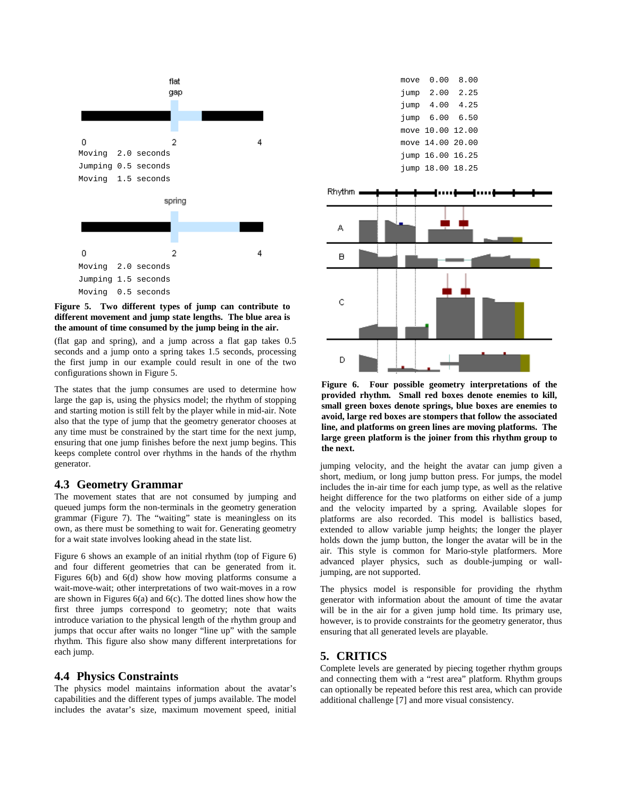

**Figure 5. Two different types of jump can contribute to different movement and jump state lengths. The blue area is the amount of time consumed by the jump being in the air.**

(flat gap and spring), and a jump across a flat gap takes 0.5 seconds and a jump onto a spring takes 1.5 seconds, processing the first jump in our example could result in one of the two configurations shown in Figure 5.

The states that the jump consumes are used to determine how large the gap is, using the physics model; the rhythm of stopping and starting motion is still felt by the player while in mid-air. Note also that the type of jump that the geometry generator chooses at any time must be constrained by the start time for the next jump, ensuring that one jump finishes before the next jump begins. This keeps complete control over rhythms in the hands of the rhythm generator.

#### **4.3 Geometry Grammar**

The movement states that are not consumed by jumping and queued jumps form the non-terminals in the geometry generation grammar (Figure 7). The "waiting" state is meaningless on its own, as there must be something to wait for. Generating geometry for a wait state involves looking ahead in the state list.

Figure 6 shows an example of an initial rhythm (top of Figure 6) and four different geometries that can be generated from it. Figures 6(b) and 6(d) show how moving platforms consume a wait-move-wait; other interpretations of two wait-moves in a row are shown in Figures 6(a) and 6(c). The dotted lines show how the first three jumps correspond to geometry; note that waits introduce variation to the physical length of the rhythm group and jumps that occur after waits no longer "line up" with the sample rhythm. This figure also show many different interpretations for each jump.

#### **4.4 Physics Constraints**

The physics model maintains information about the avatar's capabilities and the different types of jumps available. The model includes the avatar's size, maximum movement speed, initial

| move | 0. OO            | 8.00 |
|------|------------------|------|
| jump | 2.00             | 2.25 |
| jump | 4.00             | 4.25 |
| jump | 6.00             | 6.50 |
|      | move 10.00 12.00 |      |
|      | move 14.00 20.00 |      |
|      | jump 16.00 16.25 |      |
|      | jump 18.00 18.25 |      |
|      |                  |      |



**Figure 6. Four possible geometry interpretations of the provided rhythm. Small red boxes denote enemies to kill, small green boxes denote springs, blue boxes are enemies to avoid, large red boxes are stompers that follow the associated line, and platforms on green lines are moving platforms. The large green platform is the joiner from this rhythm group to the next.** 

jumping velocity, and the height the avatar can jump given a short, medium, or long jump button press. For jumps, the model includes the in-air time for each jump type, as well as the relative height difference for the two platforms on either side of a jump and the velocity imparted by a spring. Available slopes for platforms are also recorded. This model is ballistics based, extended to allow variable jump heights; the longer the player holds down the jump button, the longer the avatar will be in the air. This style is common for Mario-style platformers. More advanced player physics, such as double-jumping or walljumping, are not supported.

The physics model is responsible for providing the rhythm generator with information about the amount of time the avatar will be in the air for a given jump hold time. Its primary use, however, is to provide constraints for the geometry generator, thus ensuring that all generated levels are playable.

### **5. CRITICS**

Complete levels are generated by piecing together rhythm groups and connecting them with a "rest area" platform. Rhythm groups can optionally be repeated before this rest area, which can provide additional challenge [7] and more visual consistency.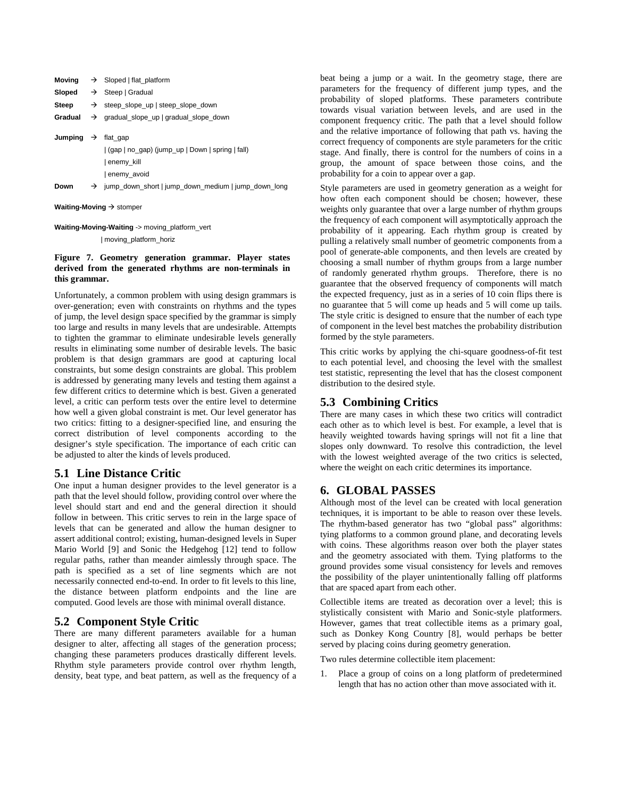| Moving                         | $\rightarrow$ Sloped   flat_platform                                         |
|--------------------------------|------------------------------------------------------------------------------|
|                                | Sloped $\rightarrow$ Steep   Gradual                                         |
| Steep                          | $\rightarrow$ steep slope up steep slope down                                |
| Gradual                        | $\rightarrow$ gradual slope up gradual slope down                            |
| Jumping $\rightarrow$ flat gap | (gap   no_gap) (jump_up   Down   spring   fall)<br>enemy kill<br>enemy avoid |
| Down                           | $\rightarrow$ jump_down_short   jump_down_medium   jump_down_long            |
|                                |                                                                              |

**Waiting-Moving**  $\rightarrow$  stomper

**Waiting-Moving-Waiting** -> moving\_platform\_vert

| moving\_platform\_horiz

#### **Figure 7. Geometry generation grammar. Player states derived from the generated rhythms are non-terminals in this grammar.**

Unfortunately, a common problem with using design grammars is over-generation; even with constraints on rhythms and the types of jump, the level design space specified by the grammar is simply too large and results in many levels that are undesirable. Attempts to tighten the grammar to eliminate undesirable levels generally results in eliminating some number of desirable levels. The basic problem is that design grammars are good at capturing local constraints, but some design constraints are global. This problem is addressed by generating many levels and testing them against a few different critics to determine which is best. Given a generated level, a critic can perform tests over the entire level to determine how well a given global constraint is met. Our level generator has two critics: fitting to a designer-specified line, and ensuring the correct distribution of level components according to the designer's style specification. The importance of each critic can be adjusted to alter the kinds of levels produced.

### **5.1 Line Distance Critic**

One input a human designer provides to the level generator is a path that the level should follow, providing control over where the level should start and end and the general direction it should follow in between. This critic serves to rein in the large space of levels that can be generated and allow the human designer to assert additional control; existing, human-designed levels in Super Mario World [9] and Sonic the Hedgehog [12] tend to follow regular paths, rather than meander aimlessly through space. The path is specified as a set of line segments which are not necessarily connected end-to-end. In order to fit levels to this line, the distance between platform endpoints and the line are computed. Good levels are those with minimal overall distance.

### **5.2 Component Style Critic**

There are many different parameters available for a human designer to alter, affecting all stages of the generation process; changing these parameters produces drastically different levels. Rhythm style parameters provide control over rhythm length, density, beat type, and beat pattern, as well as the frequency of a beat being a jump or a wait. In the geometry stage, there are parameters for the frequency of different jump types, and the probability of sloped platforms. These parameters contribute towards visual variation between levels, and are used in the component frequency critic. The path that a level should follow and the relative importance of following that path vs. having the correct frequency of components are style parameters for the critic stage. And finally, there is control for the numbers of coins in a group, the amount of space between those coins, and the probability for a coin to appear over a gap.

Style parameters are used in geometry generation as a weight for how often each component should be chosen; however, these weights only guarantee that over a large number of rhythm groups the frequency of each component will asymptotically approach the probability of it appearing. Each rhythm group is created by pulling a relatively small number of geometric components from a pool of generate-able components, and then levels are created by choosing a small number of rhythm groups from a large number of randomly generated rhythm groups. Therefore, there is no guarantee that the observed frequency of components will match the expected frequency, just as in a series of 10 coin flips there is no guarantee that 5 will come up heads and 5 will come up tails. The style critic is designed to ensure that the number of each type of component in the level best matches the probability distribution formed by the style parameters.

This critic works by applying the chi-square goodness-of-fit test to each potential level, and choosing the level with the smallest test statistic, representing the level that has the closest component distribution to the desired style.

### **5.3 Combining Critics**

There are many cases in which these two critics will contradict each other as to which level is best. For example, a level that is heavily weighted towards having springs will not fit a line that slopes only downward. To resolve this contradiction, the level with the lowest weighted average of the two critics is selected, where the weight on each critic determines its importance.

# **6. GLOBAL PASSES**

Although most of the level can be created with local generation techniques, it is important to be able to reason over these levels. The rhythm-based generator has two "global pass" algorithms: tying platforms to a common ground plane, and decorating levels with coins. These algorithms reason over both the player states and the geometry associated with them. Tying platforms to the ground provides some visual consistency for levels and removes the possibility of the player unintentionally falling off platforms that are spaced apart from each other.

Collectible items are treated as decoration over a level; this is stylistically consistent with Mario and Sonic-style platformers. However, games that treat collectible items as a primary goal, such as Donkey Kong Country [8], would perhaps be better served by placing coins during geometry generation.

Two rules determine collectible item placement:

1. Place a group of coins on a long platform of predetermined length that has no action other than move associated with it.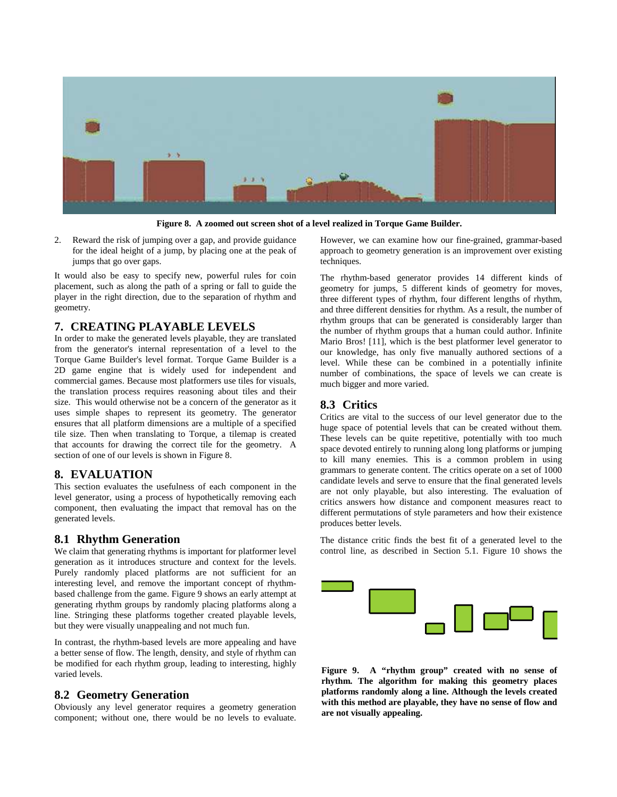

**Figure 8. A zoomed out screen shot of a level realized in Torque Game Builder.** 

2. Reward the risk of jumping over a gap, and provide guidance for the ideal height of a jump, by placing one at the peak of jumps that go over gaps.

It would also be easy to specify new, powerful rules for coin placement, such as along the path of a spring or fall to guide the player in the right direction, due to the separation of rhythm and geometry.

### **7. CREATING PLAYABLE LEVELS**

In order to make the generated levels playable, they are translated from the generator's internal representation of a level to the Torque Game Builder's level format. Torque Game Builder is a 2D game engine that is widely used for independent and commercial games. Because most platformers use tiles for visuals, the translation process requires reasoning about tiles and their size. This would otherwise not be a concern of the generator as it uses simple shapes to represent its geometry. The generator ensures that all platform dimensions are a multiple of a specified tile size. Then when translating to Torque, a tilemap is created that accounts for drawing the correct tile for the geometry. A section of one of our levels is shown in Figure 8.

### **8. EVALUATION**

This section evaluates the usefulness of each component in the level generator, using a process of hypothetically removing each component, then evaluating the impact that removal has on the generated levels.

### **8.1 Rhythm Generation**

We claim that generating rhythms is important for platformer level generation as it introduces structure and context for the levels. Purely randomly placed platforms are not sufficient for an interesting level, and remove the important concept of rhythmbased challenge from the game. Figure 9 shows an early attempt at generating rhythm groups by randomly placing platforms along a line. Stringing these platforms together created playable levels, but they were visually unappealing and not much fun.

In contrast, the rhythm-based levels are more appealing and have a better sense of flow. The length, density, and style of rhythm can be modified for each rhythm group, leading to interesting, highly varied levels.

### **8.2 Geometry Generation**

Obviously any level generator requires a geometry generation component; without one, there would be no levels to evaluate.

However, we can examine how our fine-grained, grammar-based approach to geometry generation is an improvement over existing techniques.

The rhythm-based generator provides 14 different kinds of geometry for jumps, 5 different kinds of geometry for moves, three different types of rhythm, four different lengths of rhythm, and three different densities for rhythm. As a result, the number of rhythm groups that can be generated is considerably larger than the number of rhythm groups that a human could author. Infinite Mario Bros! [11], which is the best platformer level generator to our knowledge, has only five manually authored sections of a level. While these can be combined in a potentially infinite number of combinations, the space of levels we can create is much bigger and more varied.

### **8.3 Critics**

Critics are vital to the success of our level generator due to the huge space of potential levels that can be created without them. These levels can be quite repetitive, potentially with too much space devoted entirely to running along long platforms or jumping to kill many enemies. This is a common problem in using grammars to generate content. The critics operate on a set of 1000 candidate levels and serve to ensure that the final generated levels are not only playable, but also interesting. The evaluation of critics answers how distance and component measures react to different permutations of style parameters and how their existence produces better levels.

The distance critic finds the best fit of a generated level to the control line, as described in Section 5.1. Figure 10 shows the



**Figure 9. A "rhythm group" created with no sense of rhythm. The algorithm for making this geometry places platforms randomly along a line. Although the levels created with this method are playable, they have no sense of flow and are not visually appealing.**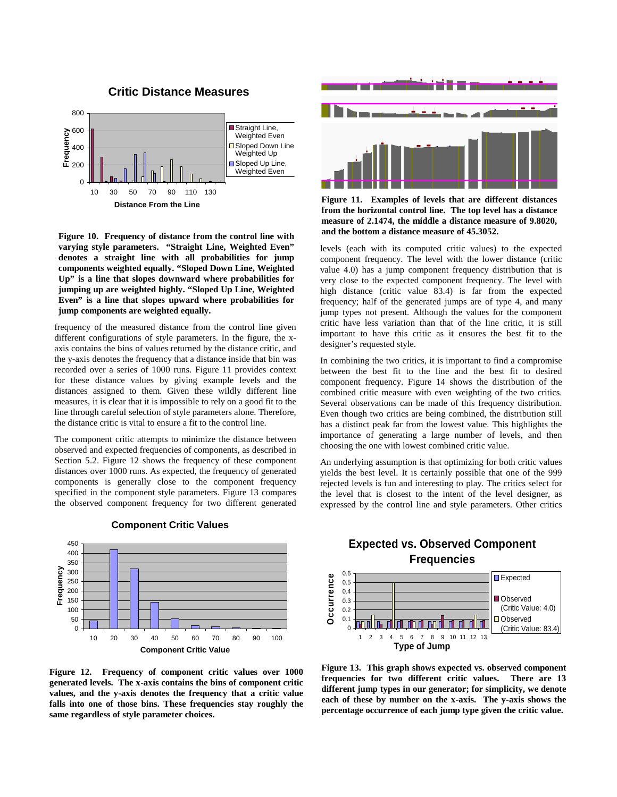

#### **Critic Distance Measures**

**Figure 10. Frequency of distance from the control line with varying style parameters. "Straight Line, Weighted Even" denotes a straight line with all probabilities for jump components weighted equally. "Sloped Down Line, Weighted Up" is a line that slopes downward where probabilities for jumping up are weighted highly. "Sloped Up Line, Weighted Even" is a line that slopes upward where probabilities for jump components are weighted equally.**

frequency of the measured distance from the control line given different configurations of style parameters. In the figure, the xaxis contains the bins of values returned by the distance critic, and the y-axis denotes the frequency that a distance inside that bin was recorded over a series of 1000 runs. Figure 11 provides context for these distance values by giving example levels and the distances assigned to them. Given these wildly different line measures, it is clear that it is impossible to rely on a good fit to the line through careful selection of style parameters alone. Therefore, the distance critic is vital to ensure a fit to the control line.

The component critic attempts to minimize the distance between observed and expected frequencies of components, as described in Section 5.2. Figure 12 shows the frequency of these component distances over 1000 runs. As expected, the frequency of generated components is generally close to the component frequency specified in the component style parameters. Figure 13 compares the observed component frequency for two different generated



#### **Component Critic Values**

**Figure 12. Frequency of component critic values over 1000 generated levels. The x-axis contains the bins of component critic values, and the y-axis denotes the frequency that a critic value falls into one of those bins. These frequencies stay roughly the same regardless of style parameter choices.** 



**Figure 11. Examples of levels that are different distances from the horizontal control line. The top level has a distance measure of 2.1474, the middle a distance measure of 9.8020, and the bottom a distance measure of 45.3052.** 

levels (each with its computed critic values) to the expected component frequency. The level with the lower distance (critic value 4.0) has a jump component frequency distribution that is very close to the expected component frequency. The level with high distance (critic value 83.4) is far from the expected frequency; half of the generated jumps are of type 4, and many jump types not present. Although the values for the component critic have less variation than that of the line critic, it is still important to have this critic as it ensures the best fit to the designer's requested style.

In combining the two critics, it is important to find a compromise between the best fit to the line and the best fit to desired component frequency. Figure 14 shows the distribution of the combined critic measure with even weighting of the two critics. Several observations can be made of this frequency distribution. Even though two critics are being combined, the distribution still has a distinct peak far from the lowest value. This highlights the importance of generating a large number of levels, and then choosing the one with lowest combined critic value.

An underlying assumption is that optimizing for both critic values yields the best level. It is certainly possible that one of the 999 rejected levels is fun and interesting to play. The critics select for the level that is closest to the intent of the level designer, as expressed by the control line and style parameters. Other critics

# **Expected vs. Observed Component Frequencies**



**Figure 13. This graph shows expected vs. observed component frequencies for two different critic values. There are 13 different jump types in our generator; for simplicity, we denote each of these by number on the x-axis. The y-axis shows the percentage occurrence of each jump type given the critic value.**